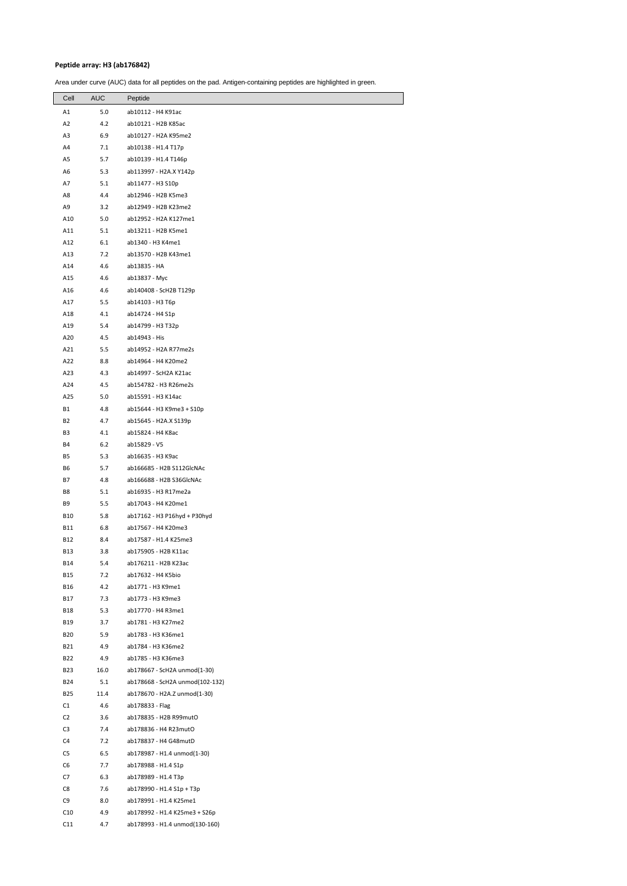## **Peptide array: H3 (ab176842)**

Area under curve (AUC) data for all peptides on the pad. Antigen-containing peptides are highlighted in green.

| Cell           | AUC  | Peptide                         |
|----------------|------|---------------------------------|
| A1             | 5.0  | ab10112 - H4 K91ac              |
| A2             | 4.2  | ab10121 - H2B K85ac             |
| A3             | 6.9  | ab10127 - H2A K95me2            |
| A4             | 7.1  | ab10138 - H1.4 T17p             |
| A5             | 5.7  | ab10139 - H1.4 T146p            |
| А6             | 5.3  | ab113997 - H2A.X Y142p          |
| Α7             | 5.1  | ab11477 - H3 S10p               |
| A8             | 4.4  | ab12946 - H2B K5me3             |
| A9             | 3.2  | ab12949 - H2B K23me2            |
| A10            | 5.0  | ab12952 - H2A K127me1           |
| A11            | 5.1  | ab13211 - H2B K5me1             |
| A12            | 6.1  | ab1340 - H3 K4me1               |
| A13            | 7.2  | ab13570 - H2B K43me1            |
| A14            | 4.6  | ab13835 - HA                    |
| A15            | 4.6  | ab13837 - Myc                   |
| A16            | 4.6  | ab140408 - ScH2B T129p          |
| A17            | 5.5  | ab14103 - H3 T6p                |
| A18            | 4.1  | ab14724 - H4 S1p                |
| A19            | 5.4  | ab14799 - H3 T32p               |
| A20            | 4.5  | ab14943 - His                   |
| A21            | 5.5  | ab14952 - H2A R77me2s           |
| A22            | 8.8  | ab14964 - H4 K20me2             |
| A23            | 4.3  | ab14997 - ScH2A K21ac           |
| A24            | 4.5  | ab154782 - H3 R26me2s           |
| A25            | 5.0  | ab15591 - H3 K14ac              |
| B1             | 4.8  | ab15644 - H3 K9me3 + S10p       |
| B2             | 4.7  | ab15645 - H2A.X S139p           |
| B3             | 4.1  | ab15824 - H4 K8ac               |
| B4             | 6.2  | ab15829 - V5                    |
| B5             | 5.3  | ab16635 - H3 K9ac               |
| B6             | 5.7  | ab166685 - H2B S112GlcNAc       |
| B7             | 4.8  | ab166688 - H2B S36GlcNAc        |
| B8             | 5.1  | ab16935 - H3 R17me2a            |
| B9             | 5.5  | ab17043 - H4 K20me1             |
| B10            | 5.8  | ab17162 - H3 P16hyd + P30hyd    |
| B11            | 6.8  | ab17567 - H4 K20me3             |
| B12            | 8.4  | ab17587 - H1.4 K25me3           |
| <b>B13</b>     | 3.8  | ab175905 - H2B K11ac            |
| B14            | 5.4  | ab176211 - H2B K23ac            |
| B15            | 7.2  | ab17632 - H4 K5bio              |
| <b>B16</b>     | 4.2  | ab1771 - H3 K9me1               |
| <b>B17</b>     | 7.3  | ab1773 - H3 K9me3               |
| <b>B18</b>     | 5.3  | ab17770 - H4 R3me1              |
| B19            | 3.7  | ab1781 - H3 K27me2              |
| <b>B20</b>     | 5.9  | ab1783 - H3 K36me1              |
| <b>B21</b>     | 4.9  | ab1784 - H3 K36me2              |
| B22            | 4.9  | ab1785 - H3 K36me3              |
| <b>B23</b>     | 16.0 | ab178667 - ScH2A unmod(1-30)    |
| <b>B24</b>     | 5.1  | ab178668 - ScH2A unmod(102-132) |
| <b>B25</b>     | 11.4 | ab178670 - H2A.Z unmod(1-30)    |
| C1             | 4.6  | ab178833 - Flag                 |
| C2             | 3.6  | ab178835 - H2B R99mutO          |
| C <sub>3</sub> | 7.4  | ab178836 - H4 R23mutO           |
| C4             | 7.2  | ab178837 - H4 G48mutD           |
| C5             | 6.5  | ab178987 - H1.4 unmod(1-30)     |
| C6             | 7.7  | ab178988 - H1.4 S1p             |
| C7             | 6.3  | ab178989 - H1.4 T3p             |
| C8             | 7.6  | ab178990 - H1.4 S1p + T3p       |
| C9             | 8.0  | ab178991 - H1.4 K25me1          |
| C10            | 4.9  | ab178992 - H1.4 K25me3 + S26p   |
| C11            | 4.7  | ab178993 - H1.4 unmod(130-160)  |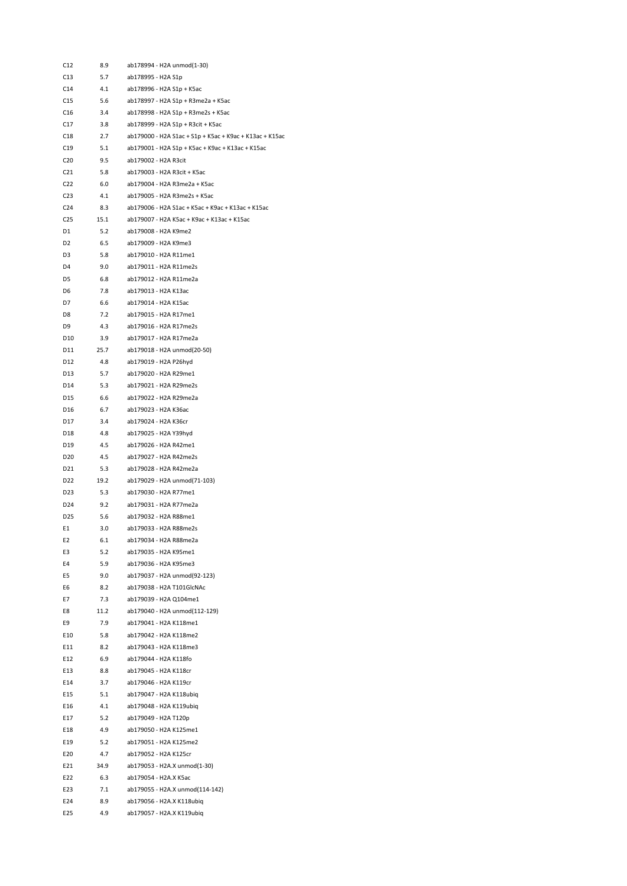| C12             | 8.9        | ab178994 - H2A unmod(1-30)                              |
|-----------------|------------|---------------------------------------------------------|
| C13             | 5.7        | ab178995 - H2A S1p                                      |
| C14             | 4.1        | ab178996 - H2A S1p + K5ac                               |
| C15             | 5.6        | ab178997 - H2A S1p + R3me2a + K5ac                      |
| C16             | 3.4        | ab178998 - H2A S1p + R3me2s + K5ac                      |
| C17             | 3.8        | ab178999 - H2A S1p + R3cit + K5ac                       |
| C18             | 2.7        | ab179000 - H2A S1ac + S1p + K5ac + K9ac + K13ac + K15ac |
|                 |            |                                                         |
| C19             | 5.1        | ab179001 - H2A S1p + K5ac + K9ac + K13ac + K15ac        |
| C20             | 9.5        | ab179002 - H2A R3cit                                    |
| C21             | 5.8        | ab179003 - H2A R3cit + K5ac                             |
| C22             | 6.0        | ab179004 - H2A R3me2a + K5ac                            |
| C23             | 4.1        | ab179005 - H2A R3me2s + K5ac                            |
| C <sub>24</sub> | 8.3        | ab179006 - H2A S1ac + K5ac + K9ac + K13ac + K15ac       |
| C25             | 15.1       | ab179007 - H2A K5ac + K9ac + K13ac + K15ac              |
| D1              | 5.2        | ab179008 - H2A K9me2                                    |
| D <sub>2</sub>  | 6.5        | ab179009 - H2A K9me3                                    |
| D3              | 5.8        | ab179010 - H2A R11me1                                   |
| D4              | 9.0        | ab179011 - H2A R11me2s                                  |
| D5              | 6.8        | ab179012 - H2A R11me2a                                  |
| D6              | 7.8        | ab179013 - H2A K13ac                                    |
| D7              | 6.6        | ab179014 - H2A K15ac                                    |
| D8              | 7.2        | ab179015 - H2A R17me1                                   |
| D9              | 4.3        | ab179016 - H2A R17me2s                                  |
| D10             | 3.9        | ab179017 - H2A R17me2a                                  |
| D11             | 25.7       | ab179018 - H2A unmod(20-50)                             |
| D12             | 4.8        | ab179019 - H2A P26hyd                                   |
| D13             | 5.7        | ab179020 - H2A R29me1                                   |
| D14             | 5.3        | ab179021 - H2A R29me2s                                  |
| D15             | 6.6        | ab179022 - H2A R29me2a                                  |
| D16             | 6.7        | ab179023 - H2A K36ac                                    |
| D17             | 3.4        | ab179024 - H2A K36cr                                    |
| D18             | 4.8        | ab179025 - H2A Y39hyd                                   |
| D19             | 4.5        | ab179026 - H2A R42me1                                   |
| D20             | 4.5        | ab179027 - H2A R42me2s                                  |
| D21             | 5.3        | ab179028 - H2A R42me2a                                  |
| D22             | 19.2       | ab179029 - H2A unmod(71-103)                            |
|                 |            | ab179030 - H2A R77me1                                   |
| D23<br>D24      | 5.3<br>9.2 |                                                         |
|                 |            | ab179031 - H2A R77me2a                                  |
| D25             | 5.6        | ab179032 - H2A R88me1                                   |
| E1              | 3.0        | ab179033 - H2A R88me2s                                  |
| E <sub>2</sub>  | 6.1        | ab179034 - H2A R88me2a                                  |
| E3              | 5.2        | ab179035 - H2A K95me1                                   |
| E4              | 5.9        | ab179036 - H2A K95me3                                   |
| E5              | 9.0        | ab179037 - H2A unmod(92-123)                            |
| E6              | 8.2        | ab179038 - H2A T101GlcNAc                               |
| E7              | 7.3        | ab179039 - H2A Q104me1                                  |
| E8              | 11.2       | ab179040 - H2A unmod(112-129)                           |
| E9              | 7.9        | ab179041 - H2A K118me1                                  |
| E10             | 5.8        | ab179042 - H2A K118me2                                  |
| E11             | 8.2        | ab179043 - H2A K118me3                                  |
| E12             | 6.9        | ab179044 - H2A K118fo                                   |
| E13             | 8.8        | ab179045 - H2A K118cr                                   |
| E14             | 3.7        | ab179046 - H2A K119cr                                   |
| E15             | 5.1        | ab179047 - H2A K118ubiq                                 |
| E16             | 4.1        | ab179048 - H2A K119ubiq                                 |
| E17             | 5.2        | ab179049 - H2A T120p                                    |
| E18             | 4.9        | ab179050 - H2A K125me1                                  |
| E19             | 5.2        | ab179051 - H2A K125me2                                  |
| E20             | 4.7        | ab179052 - H2A K125cr                                   |
| E21             | 34.9       | ab179053 - H2A.X unmod(1-30)                            |
| E22             | 6.3        | ab179054 - H2A.X K5ac                                   |
| E23             | 7.1        | ab179055 - H2A.X unmod(114-142)                         |
| E24             | 8.9        | ab179056 - H2A.X K118ubiq                               |
| E25             | 4.9        | ab179057 - H2A.X K119ubiq                               |
|                 |            |                                                         |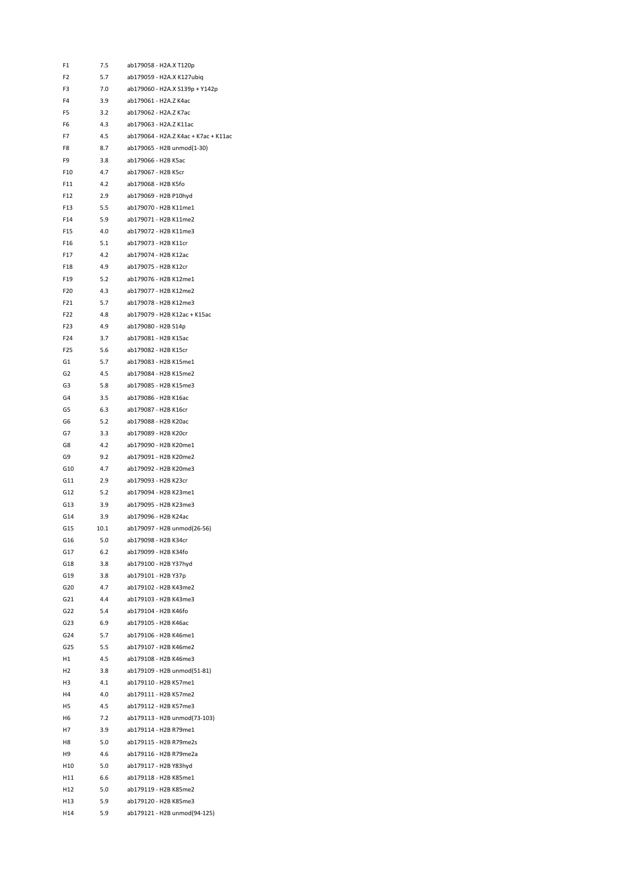| F1              | 7.5        | ab179058 - H2A.X T120p               |
|-----------------|------------|--------------------------------------|
| F <sub>2</sub>  | 5.7        | ab179059 - H2A.X K127ubiq            |
| F3              | 7.0        | ab179060 - H2A.X S139p + Y142p       |
| F4              | 3.9        | ab179061 - H2A.Z K4ac                |
| F5              | 3.2        | ab179062 - H2A.Z K7ac                |
| F <sub>6</sub>  | 4.3        | ab179063 - H2A.Z K11ac               |
| F7              | 4.5        | ab179064 - H2A.Z K4ac + K7ac + K11ac |
| F8              | 8.7        | ab179065 - H2B unmod(1-30)           |
| F9              | 3.8        | ab179066 - H2B K5ac                  |
| F10             | 4.7        | ab179067 - H2B K5cr                  |
| F11             | 4.2        | ab179068 - H2B K5fo                  |
| F12             | 2.9        | ab179069 - H2B P10hvd                |
| F <sub>13</sub> | 5.5        | ab179070 - H2B K11me1                |
| F14             | 5.9        | ab179071 - H2B K11me2                |
| F <sub>15</sub> | 4.0        | ab179072 - H2B K11me3                |
| F16             | 5.1        | ab179073 - H2B K11cr                 |
| F17             |            | ab179074 - H2B K12ac                 |
|                 | 4.2        |                                      |
| F18             | 4.9        | ab179075 - H2B K12cr                 |
| F19             | 5.2        | ab179076 - H2B K12me1                |
| F <sub>20</sub> | 4.3        | ab179077 - H2B K12me2                |
| F21             | 5.7        | ab179078 - H2B K12me3                |
| F22             | 4.8        | ab179079 - H2B K12ac + K15ac         |
| F23             | 4.9        | ab179080 - H2B S14p                  |
| F24             | 3.7        | ab179081 - H2B K15ac                 |
| F <sub>25</sub> | 5.6        | ab179082 - H2B K15cr                 |
| G1              | 5.7        | ab179083 - H2B K15me1                |
| G2              | 4.5        | ab179084 - H2B K15me2                |
| G3              | 5.8        | ab179085 - H2B K15me3                |
| G4              | 3.5        | ab179086 - H2B K16ac                 |
| G5              | 6.3        | ab179087 - H2B K16cr                 |
| G6              | 5.2        | ab179088 - H2B K20ac                 |
| G7              | 3.3        | ab179089 - H2B K20cr                 |
| G8              | 4.2        | ab179090 - H2B K20me1                |
| G9              | 9.2        | ab179091 - H2B K20me2                |
| G10             | 4.7        | ab179092 - H2B K20me3                |
| G11             | 2.9        | ab179093 - H2B K23cr                 |
| G12             | 5.2        | ab179094 - H2B K23me1                |
| G13             | 3.9        | ab179095 - H2B K23me3                |
| G14             | 3.9        | ab179096 - H2B K24ac                 |
| G15             | 10.1       | ab179097 - H2B unmod(26-56)          |
| G16             | 5.0        | ab179098 - H2B K34cr                 |
| G17             | 6.2        | ab179099 - H2B K34fo                 |
| G18             | 3.8        | ab179100 - H2B Y37hyd                |
| G19             | 3.8        | ab179101 - H2B Y37p                  |
| G20             | 4.7        | ab179102 - H2B K43me2                |
|                 |            | ab179103 - H2B K43me3                |
| G21<br>G22      | 4.4<br>5.4 |                                      |
|                 |            | ab179104 - H2B K46fo                 |
| G23             | 6.9        | ab179105 - H2B K46ac                 |
| G24             | 5.7        | ab179106 - H2B K46me1                |
| G25             | 5.5        | ab179107 - H2B K46me2                |
| H1              | 4.5        | ab179108 - H2B K46me3                |
| Н2              | 3.8        | ab179109 - H2B unmod(51-81)          |
| H3              | 4.1        | ab179110 - H2B K57me1                |
| H4              | 4.0        | ab179111 - H2B K57me2                |
| H5              | 4.5        | ab179112 - H2B K57me3                |
| Н6              | 7.2        | ab179113 - H2B unmod(73-103)         |
| Η7              | 3.9        | ab179114 - H2B R79me1                |
| H8              | 5.0        | ab179115 - H2B R79me2s               |
| Н9              | 4.6        | ab179116 - H2B R79me2a               |
| H10             | 5.0        | ab179117 - H2B Y83hyd                |
| H11             | 6.6        | ab179118 - H2B K85me1                |
| H12             | 5.0        | ab179119 - H2B K85me2                |
| H13             | 5.9        | ab179120 - H2B K85me3                |
| H14             | 5.9        | ab179121 - H2B unmod(94-125)         |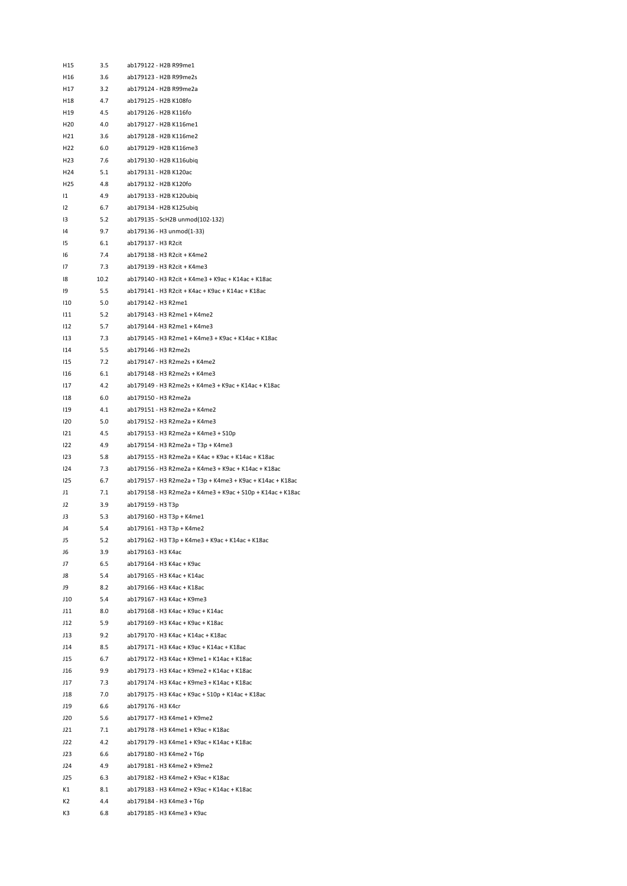| H <sub>15</sub> | 3.5  | ab179122 - H2B R99me1                                      |
|-----------------|------|------------------------------------------------------------|
| H16             | 3.6  | ab179123 - H2B R99me2s                                     |
| H17             | 3.2  | ab179124 - H2B R99me2a                                     |
| H18             | 4.7  | ab179125 - H2B K108fo                                      |
| H19             | 4.5  | ab179126 - H2B K116fo                                      |
| H20             | 4.0  | ab179127 - H2B K116me1                                     |
| H21             | 3.6  | ab179128 - H2B K116me2                                     |
| H <sub>22</sub> | 6.0  | ab179129 - H2B K116me3                                     |
| H <sub>23</sub> | 7.6  | ab179130 - H2B K116ubiq                                    |
| H24             | 5.1  | ab179131 - H2B K120ac                                      |
| H25             | 4.8  | ab179132 - H2B K120fo                                      |
| 11              | 4.9  | ab179133 - H2B K120ubiq                                    |
| 12              | 6.7  | ab179134 - H2B K125ubiq                                    |
| IЗ              | 5.2  | ab179135 - ScH2B unmod(102-132)                            |
| 14              | 9.7  | ab179136 - H3 unmod(1-33)                                  |
| 15              | 6.1  | ab179137 - H3 R2cit                                        |
| 16              | 7.4  | ab179138 - H3 R2cit + K4me2                                |
| 17              | 7.3  | ab179139 - H3 R2cit + K4me3                                |
| 18              | 10.2 | ab179140 - H3 R2cit + K4me3 + K9ac + K14ac + K18ac         |
| 19              | 5.5  | ab179141 - H3 R2cit + K4ac + K9ac + K14ac + K18ac          |
| 110             | 5.0  | ab179142 - H3 R2me1                                        |
| 111             | 5.2  | ab179143 - H3 R2me1 + K4me2                                |
| 112             | 5.7  | ab179144 - H3 R2me1 + K4me3                                |
| 113             | 7.3  | ab179145 - H3 R2me1 + K4me3 + K9ac + K14ac + K18ac         |
| 114             | 5.5  | ab179146 - H3 R2me2s                                       |
| 115             | 7.2  | ab179147 - H3 R2me2s + K4me2                               |
| 116             | 6.1  | ab179148 - H3 R2me2s + K4me3                               |
| 117             | 4.2  | ab179149 - H3 R2me2s + K4me3 + K9ac + K14ac + K18ac        |
| 118             | 6.0  | ab179150 - H3 R2me2a                                       |
| 119             | 4.1  | ab179151 - H3 R2me2a + K4me2                               |
| 120             | 5.0  | ab179152 - H3 R2me2a + K4me3                               |
| 121             | 4.5  | ab179153 - H3 R2me2a + K4me3 + S10p                        |
| 122             | 4.9  | ab179154 - H3 R2me2a + T3p + K4me3                         |
| 123             | 5.8  | ab179155 - H3 R2me2a + K4ac + K9ac + K14ac + K18ac         |
| 124             | 7.3  | ab179156 - H3 R2me2a + K4me3 + K9ac + K14ac + K18ac        |
| 125             | 6.7  | ab179157 - H3 R2me2a + T3p + K4me3 + K9ac + K14ac + K18ac  |
| J1              | 7.1  | ab179158 - H3 R2me2a + K4me3 + K9ac + S10p + K14ac + K18ac |
| J2              | 3.9  | ab179159 - H3 T3p                                          |
| JЗ              | 5.3  | ab179160 - H3 T3p + K4me1                                  |
| J4              | 5.4  | ab179161 - H3 T3p + K4me2                                  |
| J5              | 5.2  | ab179162 - H3 T3p + K4me3 + K9ac + K14ac + K18ac           |
| J6              | 3.9  | ab179163 - H3 K4ac                                         |
| J7              | 6.5  | ab179164 - H3 K4ac + K9ac                                  |
| J8              | 5.4  | ab179165 - H3 K4ac + K14ac                                 |
| J9              | 8.2  | ab179166 - H3 K4ac + K18ac                                 |
| J10             | 5.4  | ab179167 - H3 K4ac + K9me3                                 |
| J11             | 8.0  | ab179168 - H3 K4ac + K9ac + K14ac                          |
| J12             | 5.9  | ab179169 - H3 K4ac + K9ac + K18ac                          |
| J13             | 9.2  | ab179170 - H3 K4ac + K14ac + K18ac                         |
| J14             | 8.5  | ab179171 - H3 K4ac + K9ac + K14ac + K18ac                  |
| J15             | 6.7  | ab179172 - H3 K4ac + K9me1 + K14ac + K18ac                 |
| J16             | 9.9  | ab179173 - H3 K4ac + K9me2 + K14ac + K18ac                 |
| J17             | 7.3  | ab179174 - H3 K4ac + K9me3 + K14ac + K18ac                 |
| J18             | 7.0  | ab179175 - H3 K4ac + K9ac + S10p + K14ac + K18ac           |
| J19             | 6.6  | ab179176 - H3 K4cr                                         |
| J20             | 5.6  | ab179177 - H3 K4me1 + K9me2                                |
| J21             | 7.1  | ab179178 - H3 K4me1 + K9ac + K18ac                         |
| J22             | 4.2  | ab179179 - H3 K4me1 + K9ac + K14ac + K18ac                 |
| J23             | 6.6  | ab179180 - H3 K4me2 + T6p                                  |
| J24             | 4.9  | ab179181 - H3 K4me2 + K9me2                                |
| J25             | 6.3  | ab179182 - H3 K4me2 + K9ac + K18ac                         |
| К1              | 8.1  | ab179183 - H3 K4me2 + K9ac + K14ac + K18ac                 |
| K2              | 4.4  | ab179184 - H3 K4me3 + T6p                                  |
| K3              | 6.8  | ab179185 - H3 K4me3 + K9ac                                 |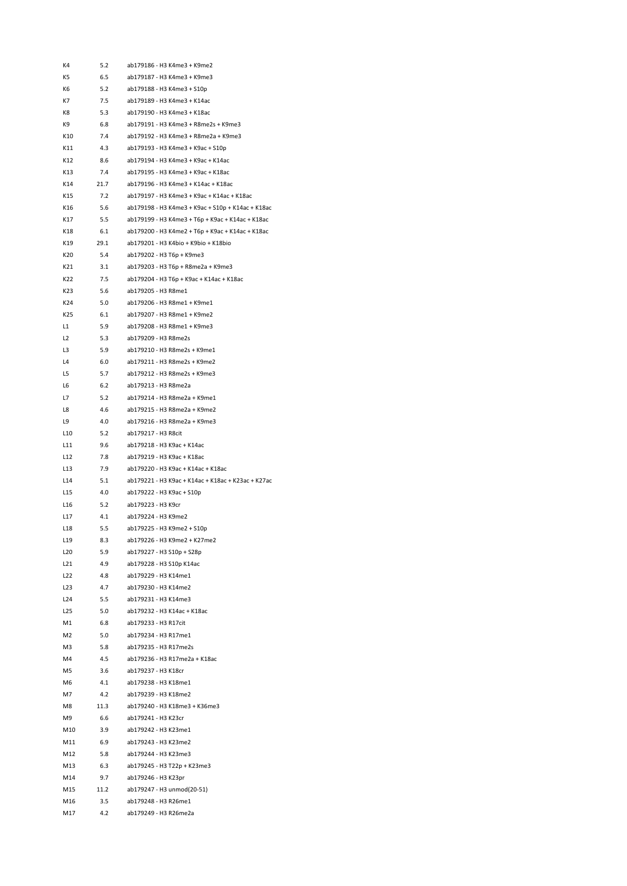| K4              | 5.2        | ab179186 - H3 K4me3 + K9me2                        |
|-----------------|------------|----------------------------------------------------|
| K5              | 6.5        | ab179187 - H3 K4me3 + K9me3                        |
| К6              | 5.2        | ab179188 - H3 K4me3 + S10p                         |
| K7              | 7.5        | ab179189 - H3 K4me3 + K14ac                        |
| K8              | 5.3        | ab179190 - H3 K4me3 + K18ac                        |
| K9              | 6.8        | ab179191 - H3 K4me3 + R8me2s + K9me3               |
| K10             | 7.4        | ab179192 - H3 K4me3 + R8me2a + K9me3               |
| K11             | 4.3        | ab179193 - H3 K4me3 + K9ac + S10p                  |
| K12             | 8.6        | ab179194 - H3 K4me3 + K9ac + K14ac                 |
| K13             | 7.4        | ab179195 - H3 K4me3 + K9ac + K18ac                 |
| K14             | 21.7       | ab179196 - H3 K4me3 + K14ac + K18ac                |
| K15             | 7.2        | ab179197 - H3 K4me3 + K9ac + K14ac + K18ac         |
| K16             | 5.6        | ab179198 - H3 K4me3 + K9ac + S10p + K14ac + K18ac  |
| K17             | 5.5        | ab179199 - H3 K4me3 + T6p + K9ac + K14ac + K18ac   |
| K18             | 6.1        | ab179200 - H3 K4me2 + T6p + K9ac + K14ac + K18ac   |
| K19             | 29.1       | ab179201 - H3 K4bio + K9bio + K18bio               |
| K20             | 5.4        | ab179202 - H3 T6p + K9me3                          |
| K21             | 3.1        | ab179203 - H3 T6p + R8me2a + K9me3                 |
| K22             | 7.5        | ab179204 - H3 Т6р + К9ас + К14ас + К18ас           |
| K23             | 5.6        | ab179205 - H3 R8me1                                |
| K24             | 5.0        | ab179206 - H3 R8me1 + K9me1                        |
| K25             | 6.1        | ab179207 - H3 R8me1 + K9me2                        |
| L1              | 5.9        | ab179208 - H3 R8me1 + K9me3                        |
| L <sub>2</sub>  | 5.3        | ab179209 - H3 R8me2s                               |
| L3              | 5.9        | ab179210 - H3 R8me2s + K9me1                       |
|                 |            | ab179211 - H3 R8me2s + K9me2                       |
| L4              | 6.0<br>5.7 | ab179212 - H3 R8me2s + K9me3                       |
| L5              |            |                                                    |
| L6              | 6.2        | ab179213 - H3 R8me2a                               |
| L7              | 5.2        | ab179214 - H3 R8me2a + K9me1                       |
| L8              | 4.6        | ab179215 - H3 R8me2a + K9me2                       |
| L9              | 4.0        | ab179216 - H3 R8me2a + K9me3                       |
| L <sub>10</sub> | 5.2        | ab179217 - H3 R8cit                                |
| L11             | 9.6        | ab179218 - H3 K9ac + K14ac                         |
| L12             | 7.8        | ab179219 - H3 K9ac + K18ac                         |
| L13             | 7.9        | ab179220 - H3 K9ac + K14ac + K18ac                 |
| L14             | 5.1        | ab179221 - H3 K9ac + K14ac + K18ac + K23ac + K27ac |
| L <sub>15</sub> | 4.0        | ab179222 - H3 K9ac + S10p                          |
| L <sub>16</sub> | 5.2        | ab179223 - H3 K9cr                                 |
| L17             | 4.1        | ab179224 - H3 K9me2                                |
| L <sub>18</sub> | 5.5        | ab179225 - H3 K9me2 + S10p                         |
| L <sub>19</sub> | 8.3        | ab179226 - H3 K9me2 + K27me2                       |
| L20             | 5.9        | ab179227 - H3 S10p + S28p                          |
| L <sub>21</sub> | 4.9        | ab179228 - H3 S10p K14ac                           |
| L <sub>22</sub> | 4.8        | ab179229 - H3 K14me1                               |
| L23             | 4.7        | ab179230 - H3 K14me2                               |
| L24             | 5.5        | ab179231 - H3 K14me3                               |
| L <sub>25</sub> | 5.0        | ab179232 - H3 K14ac + K18ac                        |
| M1              | 6.8        | ab179233 - H3 R17cit                               |
| M <sub>2</sub>  | 5.0        | ab179234 - H3 R17me1                               |
| M3              | 5.8        | ab179235 - H3 R17me2s                              |
| M4              | 4.5        | ab179236 - H3 R17me2a + K18ac                      |
| M5              | 3.6        | ab179237 - H3 K18cr                                |
| M6              | 4.1        | ab179238 - H3 K18me1                               |
| M7              | 4.2        | ab179239 - H3 K18me2                               |
| M8              | 11.3       | ab179240 - H3 K18me3 + K36me3                      |
| M9              | 6.6        | ab179241 - H3 K23cr                                |
| M10             | 3.9        | ab179242 - H3 K23me1                               |
| M11             | 6.9        | ab179243 - H3 K23me2                               |
| M12             | 5.8        | ab179244 - H3 K23me3                               |
| M13             | 6.3        | ab179245 - H3 T22p + K23me3                        |
| M14             | 9.7        | ab179246 - H3 K23pr                                |
| M15             | 11.2       | ab179247 - H3 unmod(20-51)                         |
| M16             | 3.5        | ab179248 - H3 R26me1                               |
| M17             | 4.2        | ab179249 - H3 R26me2a                              |
|                 |            |                                                    |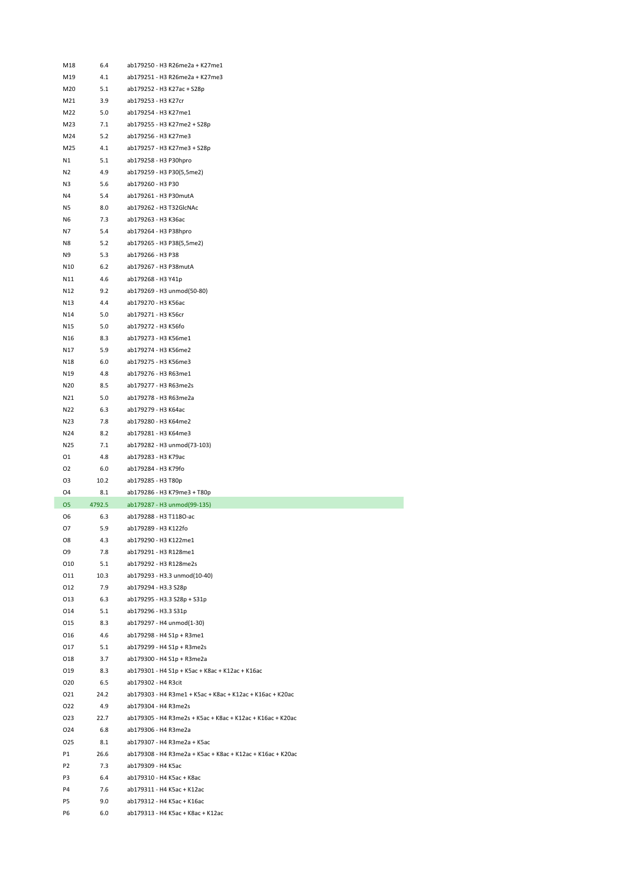| M18            | 6.4        | ab179250 - H3 R26me2a + K27me1                             |
|----------------|------------|------------------------------------------------------------|
| M19            | 4.1        | ab179251 - H3 R26me2a + K27me3                             |
| M20            | 5.1        | ab179252 - H3 K27ac + S28p                                 |
| M21            | 3.9        | ab179253 - H3 K27cr                                        |
| M22            | 5.0        | ab179254 - H3 K27me1                                       |
| M23            | 7.1        | ab179255 - H3 K27me2 + S28p                                |
| M24            | 5.2        | ab179256 - H3 K27me3                                       |
| M25            | 4.1        | ab179257 - H3 K27me3 + S28p                                |
| N1             | 5.1        | ab179258 - H3 P30hpro                                      |
| N2             | 4.9        | ab179259 - H3 P30(5,5me2)                                  |
| N3             | 5.6        | ab179260 - H3 P30                                          |
| N4             | 5.4        | ab179261 - H3 P30mutA                                      |
| N5             | 8.0        | ab179262 - H3 T32GlcNAc                                    |
| N6             | 7.3        | ab179263 - H3 K36ac                                        |
| N7             | 5.4        | ab179264 - H3 P38hpro                                      |
| N8             | 5.2        | ab179265 - H3 P38(5,5me2)                                  |
| N9             | 5.3        | ab179266 - H3 P38                                          |
| N10            | 6.2        | ab179267 - H3 P38mutA                                      |
| N11            | 4.6        | ab179268 - H3 Y41p                                         |
| N12            | 9.2        | ab179269 - H3 unmod(50-80)                                 |
| N13            | 4.4        | ab179270 - H3 K56ac                                        |
| N14            | 5.0        | ab179271 - H3 K56cr                                        |
| N15            | 5.0        | ab179272 - H3 K56fo                                        |
| N16            | 8.3        | ab179273 - H3 K56me1                                       |
| N17            | 5.9        | ab179274 - H3 K56me2                                       |
| N18            | 6.0        | ab179275 - H3 K56me3                                       |
| N19            | 4.8        | ab179276 - H3 R63me1                                       |
| N20            | 8.5        | ab179277 - H3 R63me2s                                      |
| N21            | 5.0        | ab179278 - H3 R63me2a                                      |
| N22            | 6.3        | ab179279 - H3 K64ac                                        |
| N23            | 7.8        | ab179280 - H3 K64me2                                       |
| N24            | 8.2        | ab179281 - H3 K64me3                                       |
| N25            | 7.1        | ab179282 - H3 unmod(73-103)                                |
| 01             | 4.8        | ab179283 - H3 K79ac                                        |
| O <sub>2</sub> | 6.0        | ab179284 - H3 K79fo                                        |
| O3             | 10.2       | ab179285 - H3 T80p                                         |
| O <sub>4</sub> | 8.1        | ab179286 - H3 K79me3 + T80p                                |
| 05             | 4792.5     | ab179287 - H3 unmod(99-135)                                |
| 06             | 6.3        | ab179288 - H3 T118O-ac                                     |
| 07             | 5.9        | ab179289 - H3 K122fo                                       |
| O8             | 4.3        | ab179290 - H3 K122me1                                      |
| O9             | 7.8        | ab179291 - H3 R128me1                                      |
| 010            | 5.1        | ab179292 - H3 R128me2s                                     |
| 011            | 10.3       | ab179293 - H3.3 unmod(10-40)                               |
| 012            | 7.9        | ab179294 - H3.3 S28p                                       |
| 013            | 6.3        | ab179295 - H3.3 S28p + S31p                                |
| 014            | 5.1<br>8.3 | ab179296 - H3.3 S31p<br>ab179297 - H4 unmod(1-30)          |
| 015<br>016     | 4.6        | ab179298 - H4 S1p + R3me1                                  |
| 017            | 5.1        | ab179299 - H4 S1p + R3me2s                                 |
| 018            | 3.7        | ab179300 - H4 S1p + R3me2a                                 |
| 019            | 8.3        | ab179301 - H4 S1p + K5ac + K8ac + K12ac + K16ac            |
| 020            | 6.5        | ab179302 - H4 R3cit                                        |
| 021            | 24.2       | ab179303 - H4 R3me1 + K5ac + K8ac + K12ac + K16ac + K20ac  |
| 022            | 4.9        | ab179304 - H4 R3me2s                                       |
| 023            | 22.7       | ab179305 - H4 R3me2s + K5ac + K8ac + K12ac + K16ac + K20ac |
| 024            | 6.8        | ab179306 - H4 R3me2a                                       |
| 025            | 8.1        | ab179307 - H4 R3me2a + K5ac                                |
| P1             | 26.6       | ab179308 - H4 R3me2a + K5ac + K8ac + K12ac + K16ac + K20ac |
| P <sub>2</sub> | 7.3        | ab179309 - H4 K5ac                                         |
| P3             | 6.4        | ab179310 - H4 K5ac + K8ac                                  |
| P4             | 7.6        | ab179311 - H4 K5ac + K12ac                                 |
| P5             | 9.0        | ab179312 - H4 K5ac + K16ac                                 |
| P6             | 6.0        | ab179313 - H4 K5ac + K8ac + K12ac                          |
|                |            |                                                            |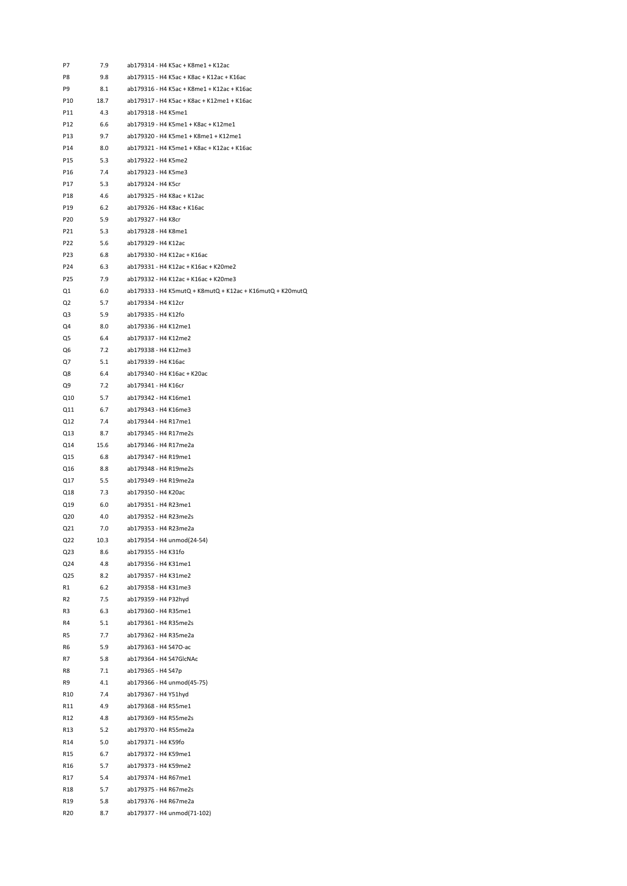| P8<br>9.8<br>ab179315 - H4 K5ac + K8ac + K12ac + K16ac<br>P9<br>8.1<br>ab179316 - H4 K5ac + K8me1 + K12ac + K16ac<br>ab179317 - H4 K5ac + K8ac + K12me1 + K16ac<br>P10<br>18.7<br>P11<br>4.3<br>ab179318 - H4 K5me1<br>ab179319 - H4 K5me1 + K8ac + K12me1<br>P12<br>6.6<br>P13<br>9.7<br>ab179320 - H4 K5me1 + K8me1 + K12me1<br>P14<br>ab179321 - H4 K5me1 + K8ac + K12ac + K16ac<br>8.0<br>P15<br>5.3<br>ab179322 - H4 K5me2<br>7.4<br>ab179323 - H4 K5me3<br>P16<br>P17<br>5.3<br>ab179324 - H4 K5cr<br>ab179325 - H4 K8ac + K12ac<br>P18<br>4.6<br>P19<br>6.2<br>ab179326 - H4 K8ac + K16ac<br>5.9<br>ab179327 - H4 K8cr<br>P20<br>P21<br>5.3<br>ab179328 - H4 K8me1<br>ab179329 - H4 K12ac<br>P22<br>5.6<br>P23<br>6.8<br>ab179330 - H4 K12ac + K16ac<br>ab179331 - H4 K12ac + K16ac + K20me2<br>P24<br>6.3<br>P <sub>25</sub><br>7.9<br>ab179332 - H4 K12ac + K16ac + K20me3<br>Q1<br>6.0<br>Q <sub>2</sub><br>5.7<br>ab179334 - H4 K12cr<br>ab179335 - H4 K12fo<br>Q3<br>5.9<br>ab179336 - H4 K12me1<br>Q4<br>8.0<br>Q5<br>ab179337 - H4 K12me2<br>6.4<br>ab179338 - H4 K12me3<br>Q6<br>7.2<br>Q7<br>5.1<br>ab179339 - H4 K16ac<br>ab179340 - H4 K16ac + K20ac<br>Q8<br>6.4<br>Q9<br>ab179341 - H4 K16cr<br>7.2<br>ab179342 - H4 K16me1<br>Q10<br>5.7<br>ab179343 - H4 K16me3<br>Q11<br>6.7<br>ab179344 - H4 R17me1<br>Q12<br>7.4<br>Q13<br>8.7<br>ab179345 - H4 R17me2s<br>Q14<br>15.6<br>ab179346 - H4 R17me2a<br>Q15<br>6.8<br>ab179347 - H4 R19me1<br>ab179348 - H4 R19me2s<br>Q16<br>8.8<br>Q17<br>5.5<br>ab179349 - H4 R19me2a<br>Q18<br>7.3<br>ab179350 - H4 K20ac<br>Q19<br>6.0<br>ab179351 - H4 R23me1<br>4.0<br>ab179352 - H4 R23me2s<br>Q20<br>Q21<br>7.0<br>ab179353 - H4 R23me2a<br>ab179354 - H4 unmod(24-54)<br>Q22<br>10.3<br>ab179355 - H4 K31fo<br>Q23<br>8.6<br>4.8<br>ab179356 - H4 K31me1<br>Q24<br>Q25<br>8.2<br>ab179357 - H4 K31me2<br>ab179358 - H4 K31me3<br>R1<br>6.2<br>R <sub>2</sub><br>7.5<br>ab179359 - H4 P32hyd<br>ab179360 - H4 R35me1<br>R3<br>6.3<br>R4<br>ab179361 - H4 R35me2s<br>5.1<br>ab179362 - H4 R35me2a<br>R5<br>7.7<br>R6<br>5.9<br>ab179363 - H4 S47O-ac<br>R7<br>ab179364 - H4 S47GlcNAc<br>5.8<br>7.1<br>ab179365 - H4 S47p<br>R8<br>ab179366 - H4 unmod(45-75)<br>R9<br>4.1<br>R <sub>10</sub><br>7.4<br>ab179367 - H4 Y51hyd<br>ab179368 - H4 R55me1<br>R11<br>4.9<br>4.8<br>ab179369 - H4 R55me2s<br>R <sub>12</sub><br>ab179370 - H4 R55me2a<br>R13<br>5.2<br>R14<br>5.0<br>ab179371 - H4 K59fo<br>6.7<br>ab179372 - H4 K59me1<br>R15<br>R <sub>16</sub><br>5.7<br>ab179373 - H4 K59me2<br>ab179374 - H4 R67me1<br>R17<br>5.4<br>5.7<br>ab179375 - H4 R67me2s<br>R <sub>18</sub><br>ab179376 - H4 R67me2a<br>R19<br>5.8<br>R <sub>20</sub><br>8.7<br>ab179377 - H4 unmod(71-102) | P7 | 7.9 | ab179314 - H4 K5ac + K8me1 + K12ac                        |
|------------------------------------------------------------------------------------------------------------------------------------------------------------------------------------------------------------------------------------------------------------------------------------------------------------------------------------------------------------------------------------------------------------------------------------------------------------------------------------------------------------------------------------------------------------------------------------------------------------------------------------------------------------------------------------------------------------------------------------------------------------------------------------------------------------------------------------------------------------------------------------------------------------------------------------------------------------------------------------------------------------------------------------------------------------------------------------------------------------------------------------------------------------------------------------------------------------------------------------------------------------------------------------------------------------------------------------------------------------------------------------------------------------------------------------------------------------------------------------------------------------------------------------------------------------------------------------------------------------------------------------------------------------------------------------------------------------------------------------------------------------------------------------------------------------------------------------------------------------------------------------------------------------------------------------------------------------------------------------------------------------------------------------------------------------------------------------------------------------------------------------------------------------------------------------------------------------------------------------------------------------------------------------------------------------------------------------------------------------------------------------------------------------------------------------------------------------------------------------------------------------------------------------------------------------------------------------------------------------------------------------------------------------------------------------------------------------------------------------------------|----|-----|-----------------------------------------------------------|
|                                                                                                                                                                                                                                                                                                                                                                                                                                                                                                                                                                                                                                                                                                                                                                                                                                                                                                                                                                                                                                                                                                                                                                                                                                                                                                                                                                                                                                                                                                                                                                                                                                                                                                                                                                                                                                                                                                                                                                                                                                                                                                                                                                                                                                                                                                                                                                                                                                                                                                                                                                                                                                                                                                                                                |    |     |                                                           |
|                                                                                                                                                                                                                                                                                                                                                                                                                                                                                                                                                                                                                                                                                                                                                                                                                                                                                                                                                                                                                                                                                                                                                                                                                                                                                                                                                                                                                                                                                                                                                                                                                                                                                                                                                                                                                                                                                                                                                                                                                                                                                                                                                                                                                                                                                                                                                                                                                                                                                                                                                                                                                                                                                                                                                |    |     |                                                           |
|                                                                                                                                                                                                                                                                                                                                                                                                                                                                                                                                                                                                                                                                                                                                                                                                                                                                                                                                                                                                                                                                                                                                                                                                                                                                                                                                                                                                                                                                                                                                                                                                                                                                                                                                                                                                                                                                                                                                                                                                                                                                                                                                                                                                                                                                                                                                                                                                                                                                                                                                                                                                                                                                                                                                                |    |     |                                                           |
|                                                                                                                                                                                                                                                                                                                                                                                                                                                                                                                                                                                                                                                                                                                                                                                                                                                                                                                                                                                                                                                                                                                                                                                                                                                                                                                                                                                                                                                                                                                                                                                                                                                                                                                                                                                                                                                                                                                                                                                                                                                                                                                                                                                                                                                                                                                                                                                                                                                                                                                                                                                                                                                                                                                                                |    |     |                                                           |
|                                                                                                                                                                                                                                                                                                                                                                                                                                                                                                                                                                                                                                                                                                                                                                                                                                                                                                                                                                                                                                                                                                                                                                                                                                                                                                                                                                                                                                                                                                                                                                                                                                                                                                                                                                                                                                                                                                                                                                                                                                                                                                                                                                                                                                                                                                                                                                                                                                                                                                                                                                                                                                                                                                                                                |    |     |                                                           |
|                                                                                                                                                                                                                                                                                                                                                                                                                                                                                                                                                                                                                                                                                                                                                                                                                                                                                                                                                                                                                                                                                                                                                                                                                                                                                                                                                                                                                                                                                                                                                                                                                                                                                                                                                                                                                                                                                                                                                                                                                                                                                                                                                                                                                                                                                                                                                                                                                                                                                                                                                                                                                                                                                                                                                |    |     |                                                           |
|                                                                                                                                                                                                                                                                                                                                                                                                                                                                                                                                                                                                                                                                                                                                                                                                                                                                                                                                                                                                                                                                                                                                                                                                                                                                                                                                                                                                                                                                                                                                                                                                                                                                                                                                                                                                                                                                                                                                                                                                                                                                                                                                                                                                                                                                                                                                                                                                                                                                                                                                                                                                                                                                                                                                                |    |     |                                                           |
|                                                                                                                                                                                                                                                                                                                                                                                                                                                                                                                                                                                                                                                                                                                                                                                                                                                                                                                                                                                                                                                                                                                                                                                                                                                                                                                                                                                                                                                                                                                                                                                                                                                                                                                                                                                                                                                                                                                                                                                                                                                                                                                                                                                                                                                                                                                                                                                                                                                                                                                                                                                                                                                                                                                                                |    |     |                                                           |
|                                                                                                                                                                                                                                                                                                                                                                                                                                                                                                                                                                                                                                                                                                                                                                                                                                                                                                                                                                                                                                                                                                                                                                                                                                                                                                                                                                                                                                                                                                                                                                                                                                                                                                                                                                                                                                                                                                                                                                                                                                                                                                                                                                                                                                                                                                                                                                                                                                                                                                                                                                                                                                                                                                                                                |    |     |                                                           |
|                                                                                                                                                                                                                                                                                                                                                                                                                                                                                                                                                                                                                                                                                                                                                                                                                                                                                                                                                                                                                                                                                                                                                                                                                                                                                                                                                                                                                                                                                                                                                                                                                                                                                                                                                                                                                                                                                                                                                                                                                                                                                                                                                                                                                                                                                                                                                                                                                                                                                                                                                                                                                                                                                                                                                |    |     |                                                           |
|                                                                                                                                                                                                                                                                                                                                                                                                                                                                                                                                                                                                                                                                                                                                                                                                                                                                                                                                                                                                                                                                                                                                                                                                                                                                                                                                                                                                                                                                                                                                                                                                                                                                                                                                                                                                                                                                                                                                                                                                                                                                                                                                                                                                                                                                                                                                                                                                                                                                                                                                                                                                                                                                                                                                                |    |     |                                                           |
|                                                                                                                                                                                                                                                                                                                                                                                                                                                                                                                                                                                                                                                                                                                                                                                                                                                                                                                                                                                                                                                                                                                                                                                                                                                                                                                                                                                                                                                                                                                                                                                                                                                                                                                                                                                                                                                                                                                                                                                                                                                                                                                                                                                                                                                                                                                                                                                                                                                                                                                                                                                                                                                                                                                                                |    |     |                                                           |
|                                                                                                                                                                                                                                                                                                                                                                                                                                                                                                                                                                                                                                                                                                                                                                                                                                                                                                                                                                                                                                                                                                                                                                                                                                                                                                                                                                                                                                                                                                                                                                                                                                                                                                                                                                                                                                                                                                                                                                                                                                                                                                                                                                                                                                                                                                                                                                                                                                                                                                                                                                                                                                                                                                                                                |    |     |                                                           |
|                                                                                                                                                                                                                                                                                                                                                                                                                                                                                                                                                                                                                                                                                                                                                                                                                                                                                                                                                                                                                                                                                                                                                                                                                                                                                                                                                                                                                                                                                                                                                                                                                                                                                                                                                                                                                                                                                                                                                                                                                                                                                                                                                                                                                                                                                                                                                                                                                                                                                                                                                                                                                                                                                                                                                |    |     |                                                           |
|                                                                                                                                                                                                                                                                                                                                                                                                                                                                                                                                                                                                                                                                                                                                                                                                                                                                                                                                                                                                                                                                                                                                                                                                                                                                                                                                                                                                                                                                                                                                                                                                                                                                                                                                                                                                                                                                                                                                                                                                                                                                                                                                                                                                                                                                                                                                                                                                                                                                                                                                                                                                                                                                                                                                                |    |     |                                                           |
|                                                                                                                                                                                                                                                                                                                                                                                                                                                                                                                                                                                                                                                                                                                                                                                                                                                                                                                                                                                                                                                                                                                                                                                                                                                                                                                                                                                                                                                                                                                                                                                                                                                                                                                                                                                                                                                                                                                                                                                                                                                                                                                                                                                                                                                                                                                                                                                                                                                                                                                                                                                                                                                                                                                                                |    |     |                                                           |
|                                                                                                                                                                                                                                                                                                                                                                                                                                                                                                                                                                                                                                                                                                                                                                                                                                                                                                                                                                                                                                                                                                                                                                                                                                                                                                                                                                                                                                                                                                                                                                                                                                                                                                                                                                                                                                                                                                                                                                                                                                                                                                                                                                                                                                                                                                                                                                                                                                                                                                                                                                                                                                                                                                                                                |    |     |                                                           |
|                                                                                                                                                                                                                                                                                                                                                                                                                                                                                                                                                                                                                                                                                                                                                                                                                                                                                                                                                                                                                                                                                                                                                                                                                                                                                                                                                                                                                                                                                                                                                                                                                                                                                                                                                                                                                                                                                                                                                                                                                                                                                                                                                                                                                                                                                                                                                                                                                                                                                                                                                                                                                                                                                                                                                |    |     |                                                           |
|                                                                                                                                                                                                                                                                                                                                                                                                                                                                                                                                                                                                                                                                                                                                                                                                                                                                                                                                                                                                                                                                                                                                                                                                                                                                                                                                                                                                                                                                                                                                                                                                                                                                                                                                                                                                                                                                                                                                                                                                                                                                                                                                                                                                                                                                                                                                                                                                                                                                                                                                                                                                                                                                                                                                                |    |     | ab179333 - H4 K5mutQ + K8mutQ + K12ac + K16mutQ + K20mutQ |
|                                                                                                                                                                                                                                                                                                                                                                                                                                                                                                                                                                                                                                                                                                                                                                                                                                                                                                                                                                                                                                                                                                                                                                                                                                                                                                                                                                                                                                                                                                                                                                                                                                                                                                                                                                                                                                                                                                                                                                                                                                                                                                                                                                                                                                                                                                                                                                                                                                                                                                                                                                                                                                                                                                                                                |    |     |                                                           |
|                                                                                                                                                                                                                                                                                                                                                                                                                                                                                                                                                                                                                                                                                                                                                                                                                                                                                                                                                                                                                                                                                                                                                                                                                                                                                                                                                                                                                                                                                                                                                                                                                                                                                                                                                                                                                                                                                                                                                                                                                                                                                                                                                                                                                                                                                                                                                                                                                                                                                                                                                                                                                                                                                                                                                |    |     |                                                           |
|                                                                                                                                                                                                                                                                                                                                                                                                                                                                                                                                                                                                                                                                                                                                                                                                                                                                                                                                                                                                                                                                                                                                                                                                                                                                                                                                                                                                                                                                                                                                                                                                                                                                                                                                                                                                                                                                                                                                                                                                                                                                                                                                                                                                                                                                                                                                                                                                                                                                                                                                                                                                                                                                                                                                                |    |     |                                                           |
|                                                                                                                                                                                                                                                                                                                                                                                                                                                                                                                                                                                                                                                                                                                                                                                                                                                                                                                                                                                                                                                                                                                                                                                                                                                                                                                                                                                                                                                                                                                                                                                                                                                                                                                                                                                                                                                                                                                                                                                                                                                                                                                                                                                                                                                                                                                                                                                                                                                                                                                                                                                                                                                                                                                                                |    |     |                                                           |
|                                                                                                                                                                                                                                                                                                                                                                                                                                                                                                                                                                                                                                                                                                                                                                                                                                                                                                                                                                                                                                                                                                                                                                                                                                                                                                                                                                                                                                                                                                                                                                                                                                                                                                                                                                                                                                                                                                                                                                                                                                                                                                                                                                                                                                                                                                                                                                                                                                                                                                                                                                                                                                                                                                                                                |    |     |                                                           |
|                                                                                                                                                                                                                                                                                                                                                                                                                                                                                                                                                                                                                                                                                                                                                                                                                                                                                                                                                                                                                                                                                                                                                                                                                                                                                                                                                                                                                                                                                                                                                                                                                                                                                                                                                                                                                                                                                                                                                                                                                                                                                                                                                                                                                                                                                                                                                                                                                                                                                                                                                                                                                                                                                                                                                |    |     |                                                           |
|                                                                                                                                                                                                                                                                                                                                                                                                                                                                                                                                                                                                                                                                                                                                                                                                                                                                                                                                                                                                                                                                                                                                                                                                                                                                                                                                                                                                                                                                                                                                                                                                                                                                                                                                                                                                                                                                                                                                                                                                                                                                                                                                                                                                                                                                                                                                                                                                                                                                                                                                                                                                                                                                                                                                                |    |     |                                                           |
|                                                                                                                                                                                                                                                                                                                                                                                                                                                                                                                                                                                                                                                                                                                                                                                                                                                                                                                                                                                                                                                                                                                                                                                                                                                                                                                                                                                                                                                                                                                                                                                                                                                                                                                                                                                                                                                                                                                                                                                                                                                                                                                                                                                                                                                                                                                                                                                                                                                                                                                                                                                                                                                                                                                                                |    |     |                                                           |
|                                                                                                                                                                                                                                                                                                                                                                                                                                                                                                                                                                                                                                                                                                                                                                                                                                                                                                                                                                                                                                                                                                                                                                                                                                                                                                                                                                                                                                                                                                                                                                                                                                                                                                                                                                                                                                                                                                                                                                                                                                                                                                                                                                                                                                                                                                                                                                                                                                                                                                                                                                                                                                                                                                                                                |    |     |                                                           |
|                                                                                                                                                                                                                                                                                                                                                                                                                                                                                                                                                                                                                                                                                                                                                                                                                                                                                                                                                                                                                                                                                                                                                                                                                                                                                                                                                                                                                                                                                                                                                                                                                                                                                                                                                                                                                                                                                                                                                                                                                                                                                                                                                                                                                                                                                                                                                                                                                                                                                                                                                                                                                                                                                                                                                |    |     |                                                           |
|                                                                                                                                                                                                                                                                                                                                                                                                                                                                                                                                                                                                                                                                                                                                                                                                                                                                                                                                                                                                                                                                                                                                                                                                                                                                                                                                                                                                                                                                                                                                                                                                                                                                                                                                                                                                                                                                                                                                                                                                                                                                                                                                                                                                                                                                                                                                                                                                                                                                                                                                                                                                                                                                                                                                                |    |     |                                                           |
|                                                                                                                                                                                                                                                                                                                                                                                                                                                                                                                                                                                                                                                                                                                                                                                                                                                                                                                                                                                                                                                                                                                                                                                                                                                                                                                                                                                                                                                                                                                                                                                                                                                                                                                                                                                                                                                                                                                                                                                                                                                                                                                                                                                                                                                                                                                                                                                                                                                                                                                                                                                                                                                                                                                                                |    |     |                                                           |
|                                                                                                                                                                                                                                                                                                                                                                                                                                                                                                                                                                                                                                                                                                                                                                                                                                                                                                                                                                                                                                                                                                                                                                                                                                                                                                                                                                                                                                                                                                                                                                                                                                                                                                                                                                                                                                                                                                                                                                                                                                                                                                                                                                                                                                                                                                                                                                                                                                                                                                                                                                                                                                                                                                                                                |    |     |                                                           |
|                                                                                                                                                                                                                                                                                                                                                                                                                                                                                                                                                                                                                                                                                                                                                                                                                                                                                                                                                                                                                                                                                                                                                                                                                                                                                                                                                                                                                                                                                                                                                                                                                                                                                                                                                                                                                                                                                                                                                                                                                                                                                                                                                                                                                                                                                                                                                                                                                                                                                                                                                                                                                                                                                                                                                |    |     |                                                           |
|                                                                                                                                                                                                                                                                                                                                                                                                                                                                                                                                                                                                                                                                                                                                                                                                                                                                                                                                                                                                                                                                                                                                                                                                                                                                                                                                                                                                                                                                                                                                                                                                                                                                                                                                                                                                                                                                                                                                                                                                                                                                                                                                                                                                                                                                                                                                                                                                                                                                                                                                                                                                                                                                                                                                                |    |     |                                                           |
|                                                                                                                                                                                                                                                                                                                                                                                                                                                                                                                                                                                                                                                                                                                                                                                                                                                                                                                                                                                                                                                                                                                                                                                                                                                                                                                                                                                                                                                                                                                                                                                                                                                                                                                                                                                                                                                                                                                                                                                                                                                                                                                                                                                                                                                                                                                                                                                                                                                                                                                                                                                                                                                                                                                                                |    |     |                                                           |
|                                                                                                                                                                                                                                                                                                                                                                                                                                                                                                                                                                                                                                                                                                                                                                                                                                                                                                                                                                                                                                                                                                                                                                                                                                                                                                                                                                                                                                                                                                                                                                                                                                                                                                                                                                                                                                                                                                                                                                                                                                                                                                                                                                                                                                                                                                                                                                                                                                                                                                                                                                                                                                                                                                                                                |    |     |                                                           |
|                                                                                                                                                                                                                                                                                                                                                                                                                                                                                                                                                                                                                                                                                                                                                                                                                                                                                                                                                                                                                                                                                                                                                                                                                                                                                                                                                                                                                                                                                                                                                                                                                                                                                                                                                                                                                                                                                                                                                                                                                                                                                                                                                                                                                                                                                                                                                                                                                                                                                                                                                                                                                                                                                                                                                |    |     |                                                           |
|                                                                                                                                                                                                                                                                                                                                                                                                                                                                                                                                                                                                                                                                                                                                                                                                                                                                                                                                                                                                                                                                                                                                                                                                                                                                                                                                                                                                                                                                                                                                                                                                                                                                                                                                                                                                                                                                                                                                                                                                                                                                                                                                                                                                                                                                                                                                                                                                                                                                                                                                                                                                                                                                                                                                                |    |     |                                                           |
|                                                                                                                                                                                                                                                                                                                                                                                                                                                                                                                                                                                                                                                                                                                                                                                                                                                                                                                                                                                                                                                                                                                                                                                                                                                                                                                                                                                                                                                                                                                                                                                                                                                                                                                                                                                                                                                                                                                                                                                                                                                                                                                                                                                                                                                                                                                                                                                                                                                                                                                                                                                                                                                                                                                                                |    |     |                                                           |
|                                                                                                                                                                                                                                                                                                                                                                                                                                                                                                                                                                                                                                                                                                                                                                                                                                                                                                                                                                                                                                                                                                                                                                                                                                                                                                                                                                                                                                                                                                                                                                                                                                                                                                                                                                                                                                                                                                                                                                                                                                                                                                                                                                                                                                                                                                                                                                                                                                                                                                                                                                                                                                                                                                                                                |    |     |                                                           |
|                                                                                                                                                                                                                                                                                                                                                                                                                                                                                                                                                                                                                                                                                                                                                                                                                                                                                                                                                                                                                                                                                                                                                                                                                                                                                                                                                                                                                                                                                                                                                                                                                                                                                                                                                                                                                                                                                                                                                                                                                                                                                                                                                                                                                                                                                                                                                                                                                                                                                                                                                                                                                                                                                                                                                |    |     |                                                           |
|                                                                                                                                                                                                                                                                                                                                                                                                                                                                                                                                                                                                                                                                                                                                                                                                                                                                                                                                                                                                                                                                                                                                                                                                                                                                                                                                                                                                                                                                                                                                                                                                                                                                                                                                                                                                                                                                                                                                                                                                                                                                                                                                                                                                                                                                                                                                                                                                                                                                                                                                                                                                                                                                                                                                                |    |     |                                                           |
|                                                                                                                                                                                                                                                                                                                                                                                                                                                                                                                                                                                                                                                                                                                                                                                                                                                                                                                                                                                                                                                                                                                                                                                                                                                                                                                                                                                                                                                                                                                                                                                                                                                                                                                                                                                                                                                                                                                                                                                                                                                                                                                                                                                                                                                                                                                                                                                                                                                                                                                                                                                                                                                                                                                                                |    |     |                                                           |
|                                                                                                                                                                                                                                                                                                                                                                                                                                                                                                                                                                                                                                                                                                                                                                                                                                                                                                                                                                                                                                                                                                                                                                                                                                                                                                                                                                                                                                                                                                                                                                                                                                                                                                                                                                                                                                                                                                                                                                                                                                                                                                                                                                                                                                                                                                                                                                                                                                                                                                                                                                                                                                                                                                                                                |    |     |                                                           |
|                                                                                                                                                                                                                                                                                                                                                                                                                                                                                                                                                                                                                                                                                                                                                                                                                                                                                                                                                                                                                                                                                                                                                                                                                                                                                                                                                                                                                                                                                                                                                                                                                                                                                                                                                                                                                                                                                                                                                                                                                                                                                                                                                                                                                                                                                                                                                                                                                                                                                                                                                                                                                                                                                                                                                |    |     |                                                           |
|                                                                                                                                                                                                                                                                                                                                                                                                                                                                                                                                                                                                                                                                                                                                                                                                                                                                                                                                                                                                                                                                                                                                                                                                                                                                                                                                                                                                                                                                                                                                                                                                                                                                                                                                                                                                                                                                                                                                                                                                                                                                                                                                                                                                                                                                                                                                                                                                                                                                                                                                                                                                                                                                                                                                                |    |     |                                                           |
|                                                                                                                                                                                                                                                                                                                                                                                                                                                                                                                                                                                                                                                                                                                                                                                                                                                                                                                                                                                                                                                                                                                                                                                                                                                                                                                                                                                                                                                                                                                                                                                                                                                                                                                                                                                                                                                                                                                                                                                                                                                                                                                                                                                                                                                                                                                                                                                                                                                                                                                                                                                                                                                                                                                                                |    |     |                                                           |
|                                                                                                                                                                                                                                                                                                                                                                                                                                                                                                                                                                                                                                                                                                                                                                                                                                                                                                                                                                                                                                                                                                                                                                                                                                                                                                                                                                                                                                                                                                                                                                                                                                                                                                                                                                                                                                                                                                                                                                                                                                                                                                                                                                                                                                                                                                                                                                                                                                                                                                                                                                                                                                                                                                                                                |    |     |                                                           |
|                                                                                                                                                                                                                                                                                                                                                                                                                                                                                                                                                                                                                                                                                                                                                                                                                                                                                                                                                                                                                                                                                                                                                                                                                                                                                                                                                                                                                                                                                                                                                                                                                                                                                                                                                                                                                                                                                                                                                                                                                                                                                                                                                                                                                                                                                                                                                                                                                                                                                                                                                                                                                                                                                                                                                |    |     |                                                           |
|                                                                                                                                                                                                                                                                                                                                                                                                                                                                                                                                                                                                                                                                                                                                                                                                                                                                                                                                                                                                                                                                                                                                                                                                                                                                                                                                                                                                                                                                                                                                                                                                                                                                                                                                                                                                                                                                                                                                                                                                                                                                                                                                                                                                                                                                                                                                                                                                                                                                                                                                                                                                                                                                                                                                                |    |     |                                                           |
|                                                                                                                                                                                                                                                                                                                                                                                                                                                                                                                                                                                                                                                                                                                                                                                                                                                                                                                                                                                                                                                                                                                                                                                                                                                                                                                                                                                                                                                                                                                                                                                                                                                                                                                                                                                                                                                                                                                                                                                                                                                                                                                                                                                                                                                                                                                                                                                                                                                                                                                                                                                                                                                                                                                                                |    |     |                                                           |
|                                                                                                                                                                                                                                                                                                                                                                                                                                                                                                                                                                                                                                                                                                                                                                                                                                                                                                                                                                                                                                                                                                                                                                                                                                                                                                                                                                                                                                                                                                                                                                                                                                                                                                                                                                                                                                                                                                                                                                                                                                                                                                                                                                                                                                                                                                                                                                                                                                                                                                                                                                                                                                                                                                                                                |    |     |                                                           |
|                                                                                                                                                                                                                                                                                                                                                                                                                                                                                                                                                                                                                                                                                                                                                                                                                                                                                                                                                                                                                                                                                                                                                                                                                                                                                                                                                                                                                                                                                                                                                                                                                                                                                                                                                                                                                                                                                                                                                                                                                                                                                                                                                                                                                                                                                                                                                                                                                                                                                                                                                                                                                                                                                                                                                |    |     |                                                           |
|                                                                                                                                                                                                                                                                                                                                                                                                                                                                                                                                                                                                                                                                                                                                                                                                                                                                                                                                                                                                                                                                                                                                                                                                                                                                                                                                                                                                                                                                                                                                                                                                                                                                                                                                                                                                                                                                                                                                                                                                                                                                                                                                                                                                                                                                                                                                                                                                                                                                                                                                                                                                                                                                                                                                                |    |     |                                                           |
|                                                                                                                                                                                                                                                                                                                                                                                                                                                                                                                                                                                                                                                                                                                                                                                                                                                                                                                                                                                                                                                                                                                                                                                                                                                                                                                                                                                                                                                                                                                                                                                                                                                                                                                                                                                                                                                                                                                                                                                                                                                                                                                                                                                                                                                                                                                                                                                                                                                                                                                                                                                                                                                                                                                                                |    |     |                                                           |
|                                                                                                                                                                                                                                                                                                                                                                                                                                                                                                                                                                                                                                                                                                                                                                                                                                                                                                                                                                                                                                                                                                                                                                                                                                                                                                                                                                                                                                                                                                                                                                                                                                                                                                                                                                                                                                                                                                                                                                                                                                                                                                                                                                                                                                                                                                                                                                                                                                                                                                                                                                                                                                                                                                                                                |    |     |                                                           |
|                                                                                                                                                                                                                                                                                                                                                                                                                                                                                                                                                                                                                                                                                                                                                                                                                                                                                                                                                                                                                                                                                                                                                                                                                                                                                                                                                                                                                                                                                                                                                                                                                                                                                                                                                                                                                                                                                                                                                                                                                                                                                                                                                                                                                                                                                                                                                                                                                                                                                                                                                                                                                                                                                                                                                |    |     |                                                           |
|                                                                                                                                                                                                                                                                                                                                                                                                                                                                                                                                                                                                                                                                                                                                                                                                                                                                                                                                                                                                                                                                                                                                                                                                                                                                                                                                                                                                                                                                                                                                                                                                                                                                                                                                                                                                                                                                                                                                                                                                                                                                                                                                                                                                                                                                                                                                                                                                                                                                                                                                                                                                                                                                                                                                                |    |     |                                                           |
|                                                                                                                                                                                                                                                                                                                                                                                                                                                                                                                                                                                                                                                                                                                                                                                                                                                                                                                                                                                                                                                                                                                                                                                                                                                                                                                                                                                                                                                                                                                                                                                                                                                                                                                                                                                                                                                                                                                                                                                                                                                                                                                                                                                                                                                                                                                                                                                                                                                                                                                                                                                                                                                                                                                                                |    |     |                                                           |
|                                                                                                                                                                                                                                                                                                                                                                                                                                                                                                                                                                                                                                                                                                                                                                                                                                                                                                                                                                                                                                                                                                                                                                                                                                                                                                                                                                                                                                                                                                                                                                                                                                                                                                                                                                                                                                                                                                                                                                                                                                                                                                                                                                                                                                                                                                                                                                                                                                                                                                                                                                                                                                                                                                                                                |    |     |                                                           |
|                                                                                                                                                                                                                                                                                                                                                                                                                                                                                                                                                                                                                                                                                                                                                                                                                                                                                                                                                                                                                                                                                                                                                                                                                                                                                                                                                                                                                                                                                                                                                                                                                                                                                                                                                                                                                                                                                                                                                                                                                                                                                                                                                                                                                                                                                                                                                                                                                                                                                                                                                                                                                                                                                                                                                |    |     |                                                           |
|                                                                                                                                                                                                                                                                                                                                                                                                                                                                                                                                                                                                                                                                                                                                                                                                                                                                                                                                                                                                                                                                                                                                                                                                                                                                                                                                                                                                                                                                                                                                                                                                                                                                                                                                                                                                                                                                                                                                                                                                                                                                                                                                                                                                                                                                                                                                                                                                                                                                                                                                                                                                                                                                                                                                                |    |     |                                                           |
|                                                                                                                                                                                                                                                                                                                                                                                                                                                                                                                                                                                                                                                                                                                                                                                                                                                                                                                                                                                                                                                                                                                                                                                                                                                                                                                                                                                                                                                                                                                                                                                                                                                                                                                                                                                                                                                                                                                                                                                                                                                                                                                                                                                                                                                                                                                                                                                                                                                                                                                                                                                                                                                                                                                                                |    |     |                                                           |